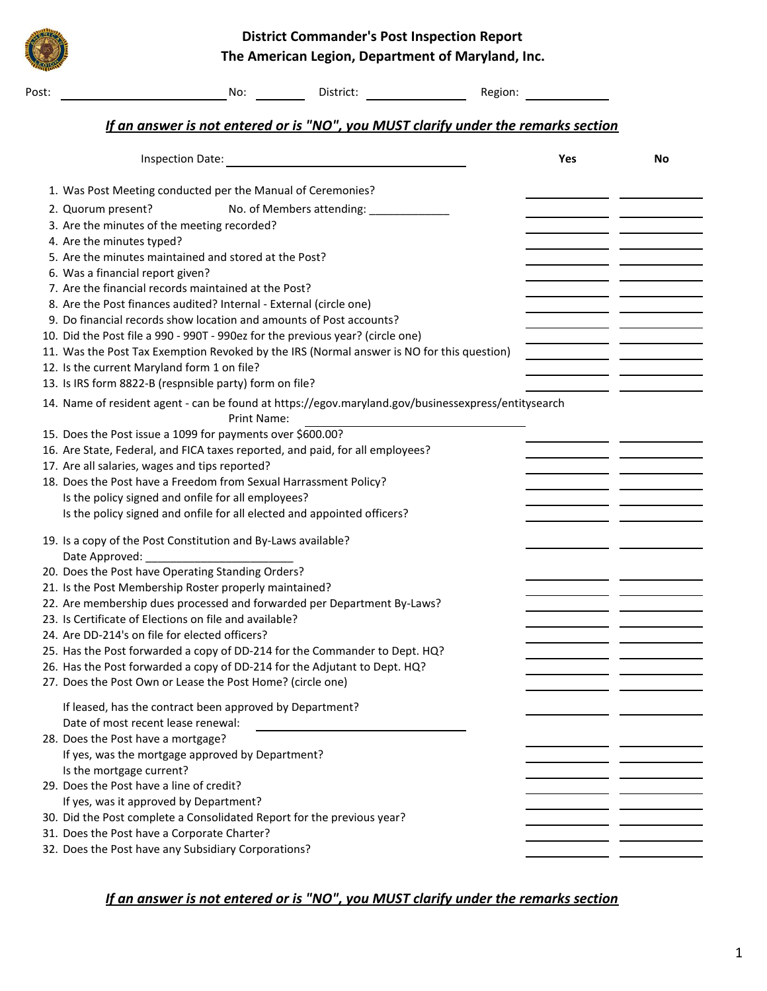**District Commander's Post Inspection Report The American Legion, Department of Maryland, Inc.**

| Post: | No:<br>District:<br>Region:                                                                                               |     |    |
|-------|---------------------------------------------------------------------------------------------------------------------------|-----|----|
|       | If an answer is not entered or is "NO", you MUST clarify under the remarks section                                        |     |    |
|       | <b>Inspection Date:</b>                                                                                                   | Yes | No |
|       | 1. Was Post Meeting conducted per the Manual of Ceremonies?                                                               |     |    |
|       | No. of Members attending: _____________<br>2. Quorum present?                                                             |     |    |
|       | 3. Are the minutes of the meeting recorded?                                                                               |     |    |
|       | 4. Are the minutes typed?                                                                                                 |     |    |
|       | 5. Are the minutes maintained and stored at the Post?                                                                     |     |    |
|       | 6. Was a financial report given?                                                                                          |     |    |
|       | 7. Are the financial records maintained at the Post?                                                                      |     |    |
|       | 8. Are the Post finances audited? Internal - External (circle one)                                                        |     |    |
|       | 9. Do financial records show location and amounts of Post accounts?                                                       |     |    |
|       | 10. Did the Post file a 990 - 990T - 990ez for the previous year? (circle one)                                            |     |    |
|       | 11. Was the Post Tax Exemption Revoked by the IRS (Normal answer is NO for this question)                                 |     |    |
|       | 12. Is the current Maryland form 1 on file?                                                                               |     |    |
|       | 13. Is IRS form 8822-B (respnsible party) form on file?                                                                   |     |    |
|       | 14. Name of resident agent - can be found at https://egov.maryland.gov/businessexpress/entitysearch<br><b>Print Name:</b> |     |    |
|       | 15. Does the Post issue a 1099 for payments over \$600.00?                                                                |     |    |
|       | 16. Are State, Federal, and FICA taxes reported, and paid, for all employees?                                             |     |    |
|       | 17. Are all salaries, wages and tips reported?                                                                            |     |    |
|       | 18. Does the Post have a Freedom from Sexual Harrassment Policy?                                                          |     |    |
|       | Is the policy signed and onfile for all employees?                                                                        |     |    |
|       | Is the policy signed and onfile for all elected and appointed officers?                                                   |     |    |
|       | 19. Is a copy of the Post Constitution and By-Laws available?<br>Date Approved:                                           |     |    |
|       | 20. Does the Post have Operating Standing Orders?                                                                         |     |    |
|       | 21. Is the Post Membership Roster properly maintained?                                                                    |     |    |
|       | 22. Are membership dues processed and forwarded per Department By-Laws?                                                   |     |    |
|       | 23. Is Certificate of Elections on file and available?                                                                    |     |    |
|       | 24. Are DD-214's on file for elected officers?                                                                            |     |    |
|       | 25. Has the Post forwarded a copy of DD-214 for the Commander to Dept. HQ?                                                |     |    |
|       | 26. Has the Post forwarded a copy of DD-214 for the Adjutant to Dept. HQ?                                                 |     |    |
|       | 27. Does the Post Own or Lease the Post Home? (circle one)                                                                |     |    |
|       | If leased, has the contract been approved by Department?                                                                  |     |    |
|       | Date of most recent lease renewal:                                                                                        |     |    |
|       | 28. Does the Post have a mortgage?                                                                                        |     |    |
|       | If yes, was the mortgage approved by Department?                                                                          |     |    |
|       | Is the mortgage current?                                                                                                  |     |    |
|       | 29. Does the Post have a line of credit?                                                                                  |     |    |
|       | If yes, was it approved by Department?                                                                                    |     |    |
|       | 30. Did the Post complete a Consolidated Report for the previous year?                                                    |     |    |
|       | 31. Does the Post have a Corporate Charter?                                                                               |     |    |
|       | 32. Does the Post have any Subsidiary Corporations?                                                                       |     |    |

## *If an answer is not entered or is "NO", you MUST clarify under the remarks section*